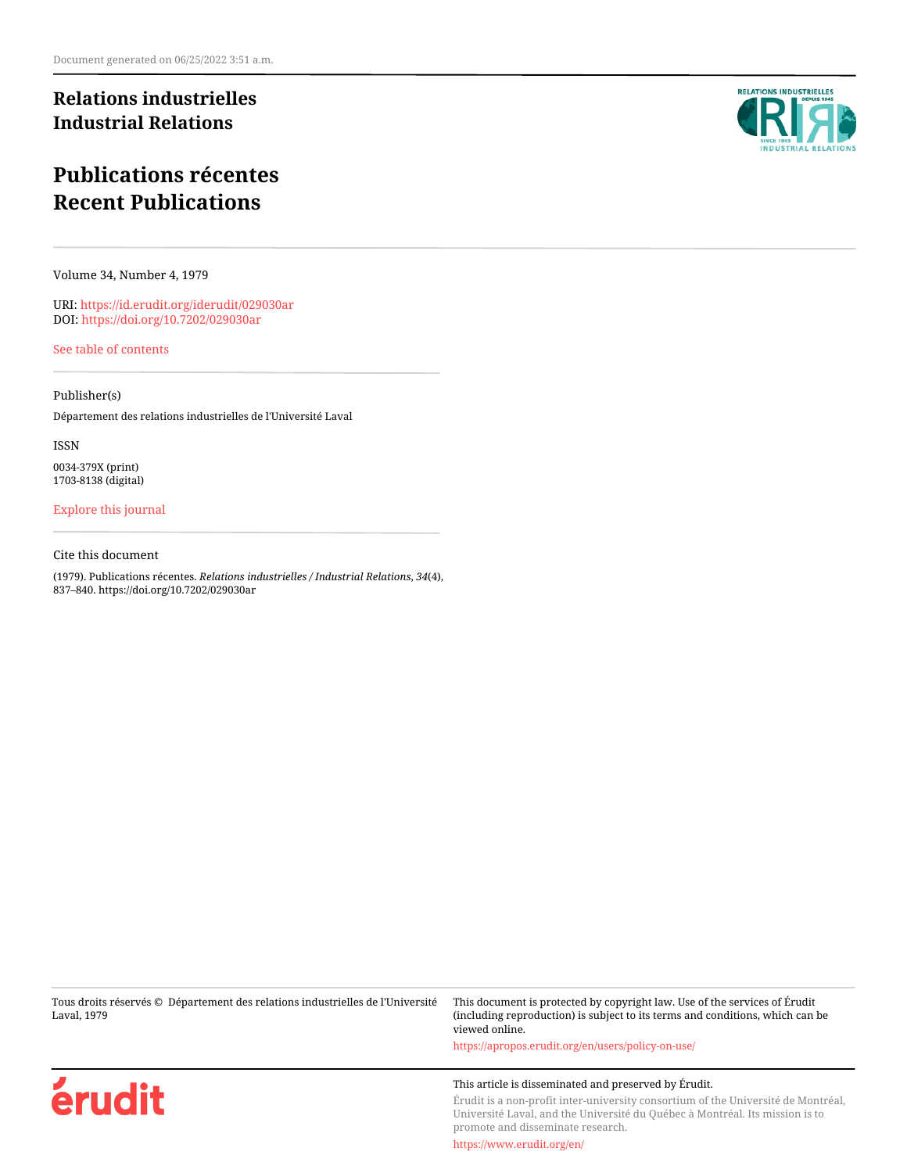## **Relations industrielles Industrial Relations**

# **Publications récentes Recent Publications**

Volume 34, Number 4, 1979

URI:<https://id.erudit.org/iderudit/029030ar> DOI:<https://doi.org/10.7202/029030ar>

[See table of contents](https://www.erudit.org/en/journals/ri/1979-v34-n4-ri2848/)

## Publisher(s)

Département des relations industrielles de l'Université Laval

ISSN

0034-379X (print) 1703-8138 (digital)

## [Explore this journal](https://www.erudit.org/en/journals/ri/)

## Cite this document

(1979). Publications récentes. *Relations industrielles / Industrial Relations*, *34*(4), 837–840. https://doi.org/10.7202/029030ar

Tous droits réservés © Département des relations industrielles de l'Université Laval, 1979 This document is protected by copyright law. Use of the services of Érudit (including reproduction) is subject to its terms and conditions, which can be viewed online.

érudit

**RELATIONS INDUSTRIELLES** 

<https://apropos.erudit.org/en/users/policy-on-use/>

## This article is disseminated and preserved by Érudit.

Érudit is a non-profit inter-university consortium of the Université de Montréal, Université Laval, and the Université du Québec à Montréal. Its mission is to promote and disseminate research.

<https://www.erudit.org/en/>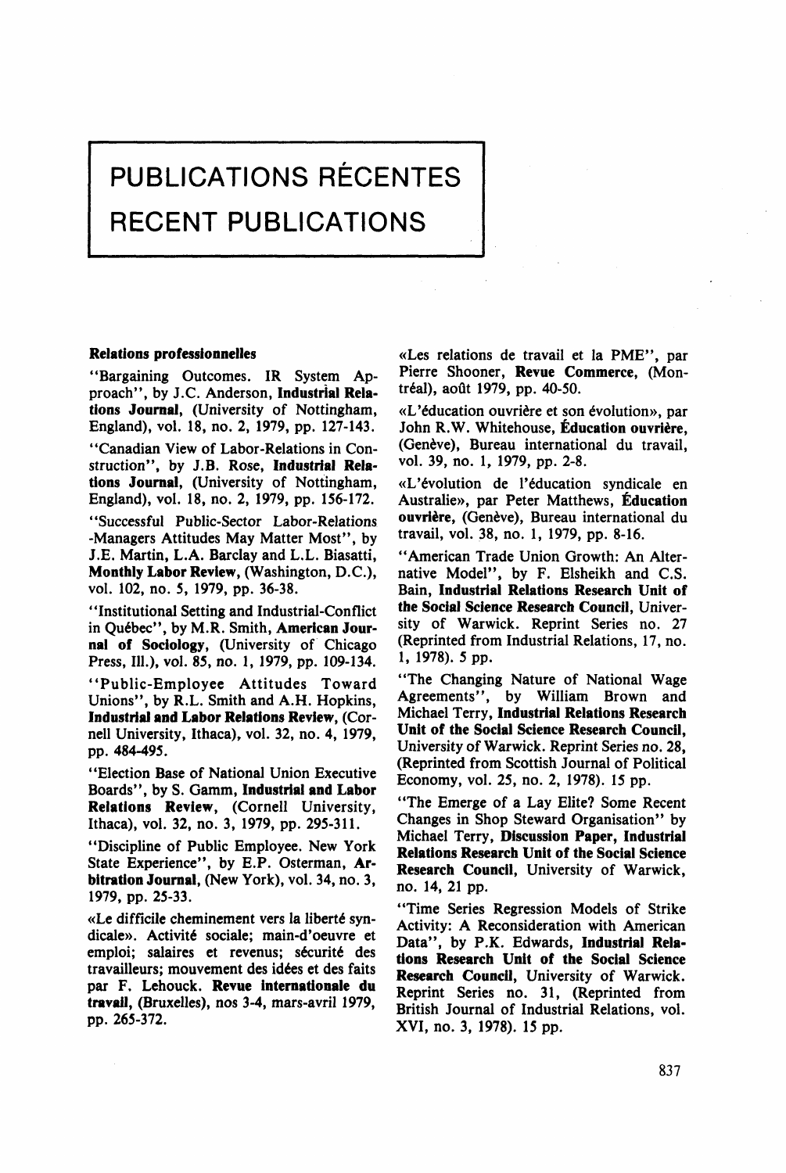# **PUBLICATIONS RECENTES RECENT PUBLICATIONS**

#### **Relations professionnelles**

"Bargaining Outcomes. IR System Approach", by J.C. Anderson, **Industrial Relations Journal,** (University of Nottingham, England), vol. 18, no. 2, 1979, pp. 127-143.

"Canadian View of Labor-Relations in Construction", by J.B. Rose, **Industrial Relations Journal,** (University of Nottingham, England), vol. 18, no. 2, 1979, pp. 156-172.

"Successful Public-Sector Labor-Relations -Managers Attitudes May Matter Most", by J.E. Martin, L.A. Barclay and L.L. Biasatti, **Monthly Labor Review,** (Washington, D.C.), vol. 102, no. 5, 1979, pp. 36-38.

"Institutional Setting and Industrial-Conflict in Québec", by M.R. Smith, **American Journal of Sociology,** (University of Chicago Press, 111.), vol. 85, no. 1, 1979, pp. 109-134.

"Public-Employee Attitudes Toward Unions", by R.L. Smith and A.H. Hopkins, **Industrial and Labor Relations Review,** (Cornell University, Ithaca), vol. 32, no. 4, 1979, pp. 484-495.

"Election Base of National Union Executive Boards", by S. Gamm, **Industrial and Labor Relations Review,** (Cornell University, Ithaca), vol. 32, no. 3, 1979, pp. 295-311.

"Discipline of Public Employee. New York State Experience", by E.P. Osterman, Ar**bitration Journal,** (New York), vol. 34, no. 3, 1979, pp. 25-33.

«Le difficile cheminement vers la liberté syndicale». Activité sociale; main-d'oeuvre et emploi; salaires et revenus; sécurité des travailleurs; mouvement des idées et des faits par F. Lehouck. **Revue internationale du travail,** (Bruxelles), nos 3-4, mars-avril 1979, pp. 265-372.

«Les relations de travail et la PME", par Pierre Shooner, **Revue Commerce,** (Montréal), août 1979, pp. 40-50.

«L'éducation ouvrière et son évolution», par John R.W. Whitehouse, Éducation ouvrière, (Genève), Bureau international du travail, vol. 39, no. 1, 1979, pp. 2-8.

«L'évolution de l'éducation syndicale en Australie», par Peter Matthews, **Éducation ouvrière,** (Genève), Bureau international du travail, vol. 38, no. 1, 1979, pp. 8-16.

"American Trade Union Growth: An Alternative Model", by F. Elsheikh and C.S. Bain, **Industrial Relations Research** Unit **of the Social Science Research Council,** University of Warwick. Reprint Series no. 27 (Reprinted from Industrial Relations, 17, no. 1,1978). 5 pp.

"The Changing Nature of National Wage Agreements", by William Brown and Michael Terry, **Industrial Relations Research Unit of the Social Science Research Council,**  University of Warwick. Reprint Series no. 28, (Reprinted from Scottish Journal of Political Economy, vol. 25, no. 2, 1978). 15 pp.

"The Emerge of a Lay Elite? Some Récent Changes in Shop Steward Organisation" by Michael Terry, **Discussion Paper, Industrial Relations Research Unit of the Social** Science **Research Council,** University of Warwick, no. 14, 21 pp.

"Time Séries Régression Models of Strike Activity: A Reconsideration with American Data", by P.K. Edwards, **Industrial Relations Research Unit of the Social** Science **Research Council,** University of Warwick. Reprint Series no. 31, (Reprinted from British Journal of Industrial Relations, vol. XVI, no. 3, 1978). 15 pp.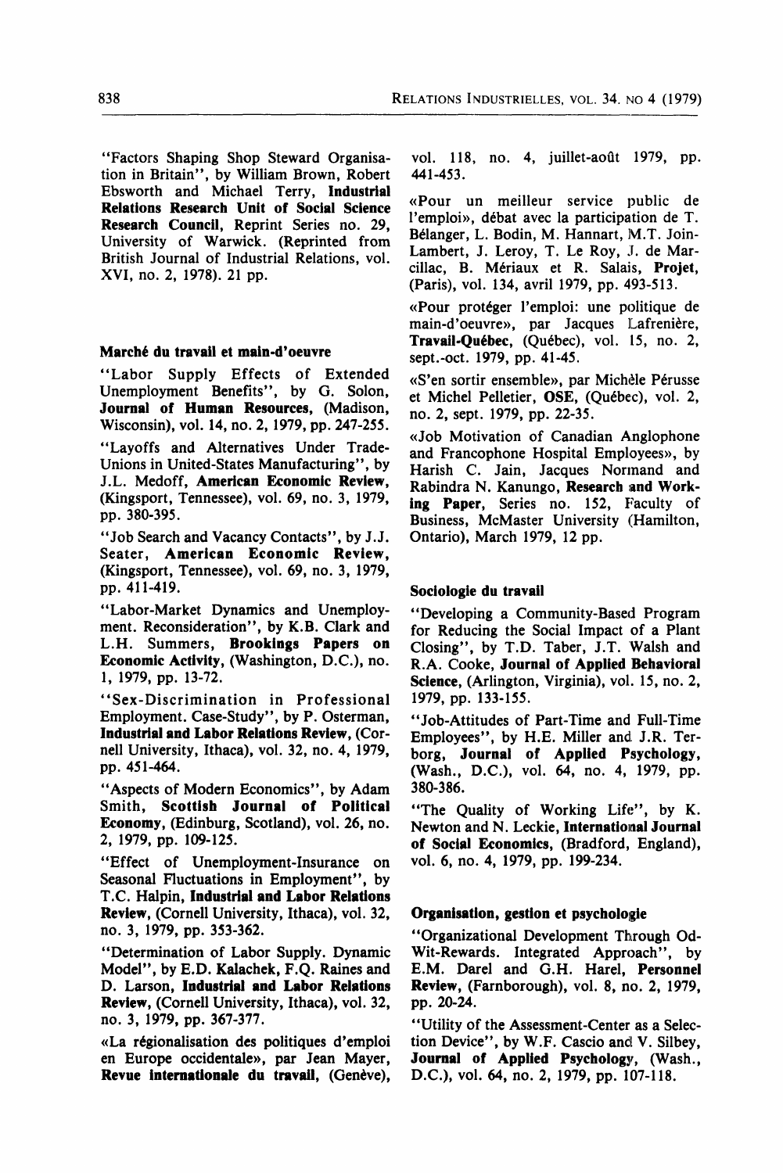"Factors Shaping Shop Steward Organisation in Britain", by William Brown, Robert Ebsworth and Michael Terry, **Industrial Relations Research Unit of Social Science**  Research Council, Reprint Series no. 29, University of Warwick. (Reprinted from British Journal of Industrial Relations, vol. XVI, no. 2, 1978). 21 pp.

#### **Marché du travail et main-d'oeuvre**

"Labor Supply Effects of Extended Unemployment Benefîts", by G. Solon, **Journal of Human Resources,** (Madison, Wisconsin), vol. 14, no. 2,1979, pp. 247-255.

"Layoffs and Alternatives Under Trade-Unions in United-States Manufacturing", by J.L. Medoff, **American Economie Review,**  (Kingsport, Tennessee), vol. 69, no. 3, 1979, pp. 380-395.

"Job Search and Vacancy Contacts", by J.J. Seater, **American Economie Review,**  (Kingsport, Tennessee), vol. 69, no. 3, 1979, pp. 411-419.

"Labor-Market Dynamics and Unemployment. Reconsideration", by K.B. Clark and L.H. Summers, **Brookings Papers on Economie Activity,** (Washington, D.C.), no. 1, 1979, pp. 13-72.

"Sex-Discrimination in Professional Employment. Case-Study", by P. Osterman, **Industrial and Labor Relations Review,** (Cornell University, Ithaca), vol. 32, no. 4, 1979, pp. 451-464.

"Aspects of Modern Economics", by Adam Smith, **Scottish Journal of Political Economy,** (Edinburg, Scotland), vol. 26, no. 2, 1979, pp. 109-125.

"Effect of Unemployment-Insurance on Seasonal Fluctuations in Employment", by T.C. H alpin, **Industrial and Labor Relations Review,** (Cornell University, Ithaca), vol. 32, no. 3, 1979, pp. 353-362.

"Détermination of Labor Supply. Dynamic Model", by E.D. Kalachek, F.Q. Raines and D. Larson, **Industrial and Labor Relations Review,** (Cornell University, Ithaca), vol. 32, no. 3, 1979, pp. 367-377.

«La régionalisation des politiques d'emploi en Europe occidentale», par Jean Mayer, **Revue internationale du travail,** (Genève),

vol. 118, no. 4, juillet-août 1979, pp. 441-453.

«Pour un meilleur service public de l'emploi», débat avec la participation de T. Bélanger, L. Bodin, M. Hannart, M.T. Join-Lambert, J. Leroy, T. Le Roy, J. de Marcillac, B. Mériaux et R. Salais, **Projet,**  (Paris), vol. 134, avril 1979, pp. 493-513.

«Pour protéger l'emploi: une politique de main-d'oeuvre», par Jacques Lafrenière, **Travail-Québec,** (Québec), vol. 15, no. 2, sept.-oct. 1979, pp. 41-45.

«S'en sortir ensemble», par Michéle Pérusse et Michel Pelletier, OSE, (Québec), vol. 2, no. 2, sept. 1979, pp. 22-35.

«Job Motivation of Canadian Anglophone and Francophone Hospital Employees», by Harish C. Jain, Jacques Normand and Rabindra N. Kanungo, **Research and Work**ing Paper, Series no. 152, Faculty of Business, McMaster University (Hamilton, Ontario), March 1979, 12 pp.

#### **Sociologie du travail**

"Developing a Community-Based Program for Reducing the Social Impact of a Plant Closing", by T.D. Taber, J.T. Walsh and R.A. Cooke, **Journal of Applied Behavioral Science,** (Arlington, Virginia), vol. 15, no. 2, 1979, pp. 133-155.

"Job-Attitudes of Part-Time and Full-Time Employees", by H.E. Miller and J.R. Terborg, **Journal of Applied Psychology,**  (Wash., D.C.), vol. 64, no. 4, 1979, pp. 380-386.

"The Quality of Working Life", by K. Newton and N. Leckie, **International Journal of Social Economies,** (Bradford, England), vol. 6, no. 4, 1979, pp. 199-234.

#### **Organisation, gestion et psychologie**

"Organizational Development Through Od-Wit-Rewards. Integrated Approach", by E.M. Darel and G.H. Harel, **Personnel Review,** (Farnborough), vol. 8, no. 2, 1979, pp. 20-24.

"Utility of the Assessment-Center as a Selection Device", by W.F. Cascio and V. Silbey, **Journal of Applied Psychology,** (Wash., D.C.), vol. 64, no. 2, 1979, pp. 107-118.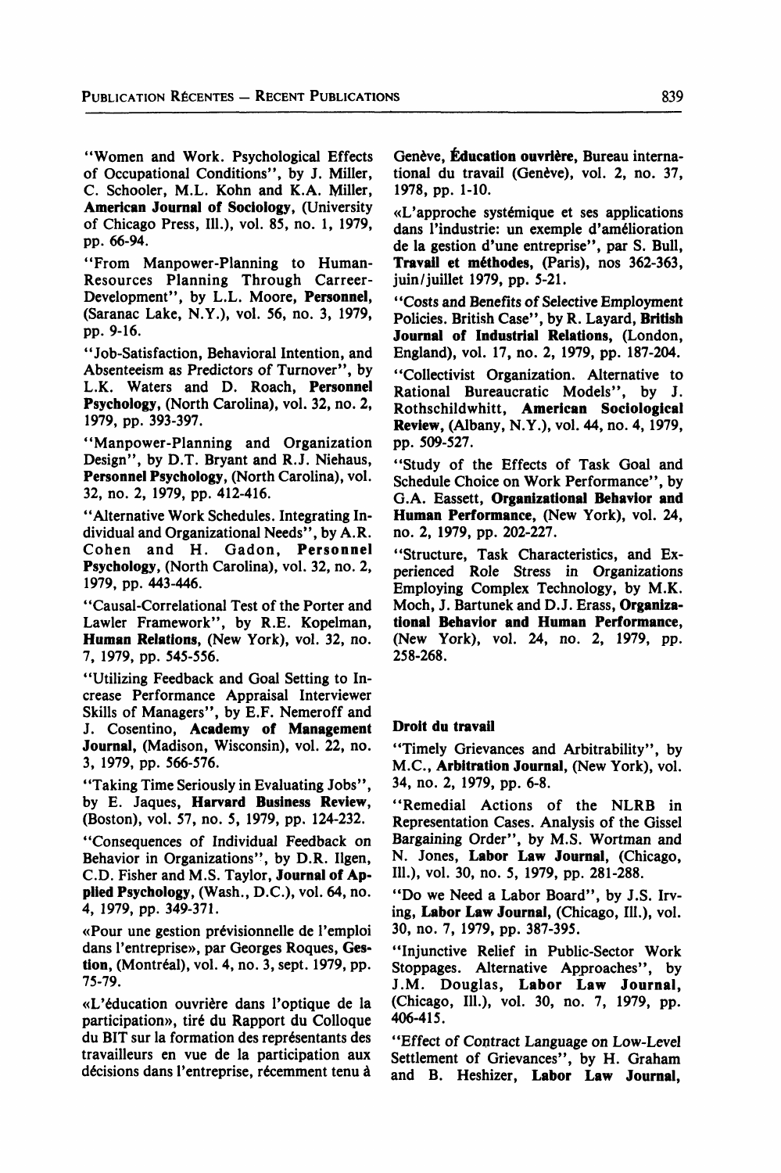"Women and Work. Psychological Effects of Occupational Conditions", by J. Miller, C. Schooler, M.L. Kohn and K.A. Miller, **American Journal of Sociology,** (University of Chicago Press, 111.), vol. 85, no. 1, 1979, pp. 66-94.

"From Manpower-Planning to Human-Resources Planning Through Carreer-Development", by L.L. Moore, **Personnel,**  (Saranac Lake, N.Y.), vol. 56, no. 3, 1979, pp. 9-16.

"Job-Satisfaction, Behavioral Intention, and Absenteeism as Predictors of Turnover", by L.K. Waters and D. Roach, **Personnel Psychology,** (North Carolina), vol. 32, no. 2, 1979, pp. 393-397.

"Manpower-Planning and Organization Design", by D.T. Bryant and R.J. Niehaus, **Personnel Psychology,** (North Carolina), vol. 32, no. 2, 1979, pp. 412-416.

"Alternative Work Schedules. Integrating Individual and Organizational Needs", by A.R. Cohen and H. Gadon, Personnel **Psychology,** (North Carolina), vol. 32, no. 2, 1979, pp. 443-446.

"Causal-Correlational Test of the Porter and Lawler Framework", by R.E. Kopelman, **Human Relations,** (New York), vol. 32, no. 7, 1979, pp. 545-556.

"Utilizing Feedback and Goal Setting to Increase Performance Appraisal Interviewer Skills of Managers", by E.F. Nemeroff and J. Cosentino, **Academy of Management Journal,** (Madison, Wisconsin), vol. 22, no. 3, 1979, pp. 566-576.

"Taking Time Seriously in Evaluating Jobs", by E. Jaques, **Harvard Business Review,**  (Boston), vol. 57, no. 5, 1979, pp. 124-232.

"Conséquences of Individual Feedback on Behavior in Organizations", by D.R. Ilgen, C.D. Fisher and M.S. Taylor, **Journal of Applied Psychology,** (Wash., D.C.), vol. 64, no. 4, 1979, pp. 349-371.

«Pour une gestion prévisionnelle de l'emploi dans l'entreprise», par Georges Roques, Gestion, (Montréal), vol. 4, no. 3, sept. 1979, pp. 75-79.

«L'éducation ouvrière dans l'optique de la participation», tiré du Rapport du Colloque du BIT sur la formation des représentants des travailleurs en vue de la participation aux décisions dans l'entreprise, récemment tenu à Genève, **Éducation ouvrière,** Bureau international du travail (Genève), vol. 2, no. 37, 1978, pp. 1-10.

«L'approche systémique et ses applications dans l'industrie: un exemple d'amélioration de la gestion d'une entreprise", par S. Bull, **Travail et méthodes,** (Paris), nos 362-363, juin/juillet 1979, pp. 5-21.

"Costs and Benefits of Sélective Employment Policies. British Case", by R. Layard, **British Journal of Industrial Relations,** (London, England), vol. 17, no. 2, 1979, pp. 187-204.

"Collectivist Organization. Alternative to Rational Bureaucratie Models", by J. Rothschildwhitt, **American Sociological Review,** (Albany, N.Y.), vol. 44, no. 4, 1979, pp. 509-527.

"Study of the Effects of Task Goal and Schedule Choice on Work Performance", by G.A. Eassett, **Organizational Behavior and Human Performance,** (New York), vol. 24, no. 2, 1979, pp. 202-227.

"Structure, Task Characteristics, and Experienced Rôle Stress in Organizations Employing Complex Technology, by M.K. Moch, J. Bartunek and D.J. Erass, **Organizational Behavior and Human Performance,**  (New York), vol. 24, no. 2, 1979, pp. 258-268.

#### **Droit du travail**

"Timely Grievances and Arbitrability", by M.C., **Arbitration Journal,** (New York), vol. 34, no. 2, 1979, pp. 6-8.

"Remédiai Actions of the NLRB in Representation Cases. Analysis of the Gissel Bargaining Order", by M.S. Wortman and N. Jones, **Labor Law Journal,** (Chicago, 111.), vol. 30, no. 5, 1979, pp. 281-288.

"Do we Need a Labor Board", by J.S. Irving, **Labor Law Journal,** (Chicago, 111.), vol. 30, no. 7, 1979, pp. 387-395.

"Injunctive Relief in Public-Sector Work Stoppages. Alternative Approaches", by J.M. Douglas, **Labor Law Journal,**  (Chicago, 111.), vol. 30, no. 7, 1979, pp. 406-415.

"Effect of Contract Language on Low-Level Settlement of Grievances", by H. Graham and B. Heshizer, **Labor Law Journal,**